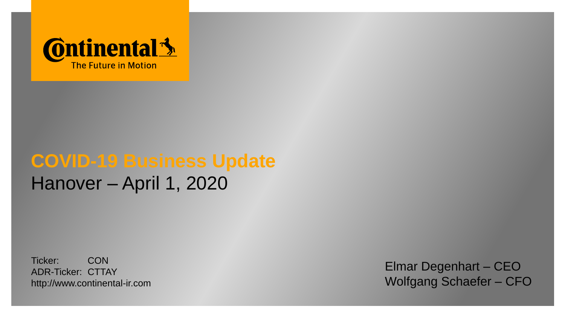

# **COVID-19 Business Update** Hanover – April 1, 2020

Ticker: CON ADR-Ticker: CTTAY http://www.continental-ir.com

Elmar Degenhart – CEO Wolfgang Schaefer – CFO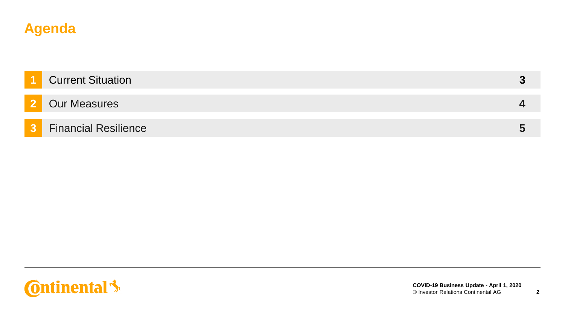# **Agenda**

|                | <b>Current Situation</b>    |  |
|----------------|-----------------------------|--|
|                |                             |  |
|                | <b>Our Measures</b>         |  |
|                |                             |  |
| $\overline{3}$ | <b>Financial Resilience</b> |  |

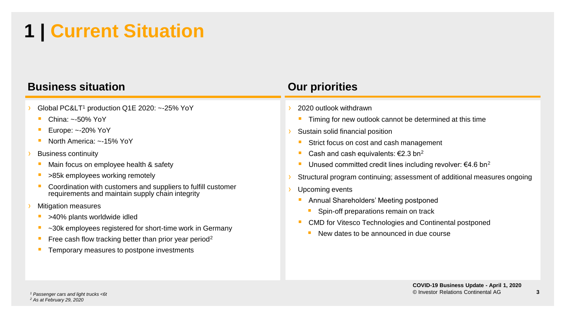# **1 | Current Situation**

## **Business situation**

- Global PC&LT<sup>1</sup> production Q1E 2020: ~-25% YoY
	- China:  $\approx$ -50% YoY
	- Europe:  $\sim$ -20% YoY
	- North America: ~-15% YoY
- **Business continuity** 
	- Main focus on employee health & safety
	- >85k employees working remotely
	- Coordination with customers and suppliers to fulfill customer requirements and maintain supply chain integrity
- **Mitigation measures** 
	- >40% plants worldwide idled
	- ~30k employees registered for short-time work in Germany
	- Free cash flow tracking better than prior year period<sup>2</sup>
	- Temporary measures to postpone investments

## **Our priorities**

- 2020 outlook withdrawn
	- **Timing for new outlook cannot be determined at this time**
- Sustain solid financial position
	- Strict focus on cost and cash management
	- Cash and cash equivalents:  $€2.3$  bn<sup>2</sup>
	- Unused committed credit lines including revolver:  $\epsilon$ 4.6 bn<sup>2</sup>
- Structural program continuing; assessment of additional measures ongoing
- Upcoming events
	- Annual Shareholders' Meeting postponed
		- Spin-off preparations remain on track
	- CMD for Vitesco Technologies and Continental postponed
		- New dates to be announced in due course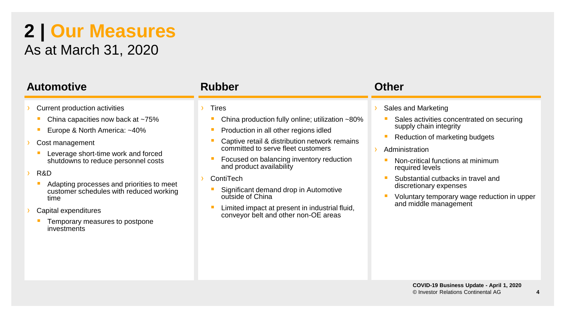# **2 | Our Measures** As at March 31, 2020

## **Automotive**

- **Current production activities** 
	- China capacities now back at  $~175\%$
	- Europe & North America: ~40%
- Cost management
	- Leverage short-time work and forced shutdowns to reduce personnel costs
- › R&D
	- Adapting processes and priorities to meet customer schedules with reduced working time
- Capital expenditures
	- Temporary measures to postpone investments

# **Rubber**

### **Tires**

- China production fully online; utilization  $~50\%$
- Production in all other regions idled
- Captive retail & distribution network remains committed to serve fleet customers
- Focused on balancing inventory reduction and product availability
- **ContiTech** 
	- Significant demand drop in Automotive outside of China
	- Limited impact at present in industrial fluid. conveyor belt and other non-OE areas

## **Other**

- Sales and Marketing
- Sales activities concentrated on securing supply chain integrity
- **Reduction of marketing budgets**
- **Administration** 
	- Non-critical functions at minimum required levels
	- Substantial cutbacks in travel and discretionary expenses
	- Voluntary temporary wage reduction in upper and middle management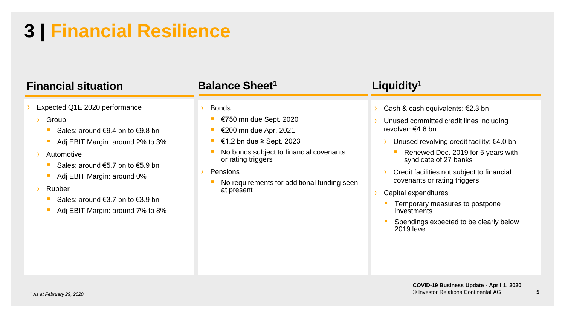# **3 | Financial Resilience**

## **Financial situation**

- Expected Q1E 2020 performance
	- **Group** 
		- Sales: around €9.4 bn to €9.8 bn
		- Adj EBIT Margin: around 2% to 3%
- **Automotive** 
	- Sales: around  $€5.7$  bn to  $€5.9$  bn
	- Adj EBIT Margin: around 0%
- **Rubber** 
	- Sales: around €3.7 bn to €3.9 bn
	- Adj EBIT Margin: around 7% to 8%

## **Balance Sheet<sup>1</sup> Liquidity**<sup>1</sup>

#### **Bonds**

- €750 mn due Sept. 2020
- €200 mn due Apr. 2021
- €1.2 bn due ≥ Sept. 2023
- No bonds subject to financial covenants or rating triggers
- **Pensions** 
	- No requirements for additional funding seen at present

- Cash & cash equivalents:  $\epsilon$ 2.3 bn
- Unused committed credit lines including revolver: €4.6 bn
	- Unused revolving credit facility:  $€4.0$  bn
		- Renewed Dec. 2019 for 5 years with syndicate of 27 banks
	- Credit facilities not subject to financial covenants or rating triggers
- › Capital expenditures
	- Temporary measures to postpone investments
	- Spendings expected to be clearly below  $2019$  level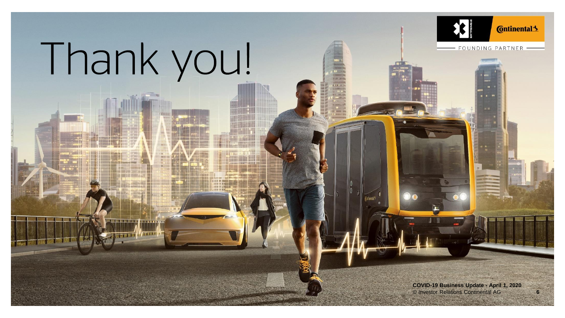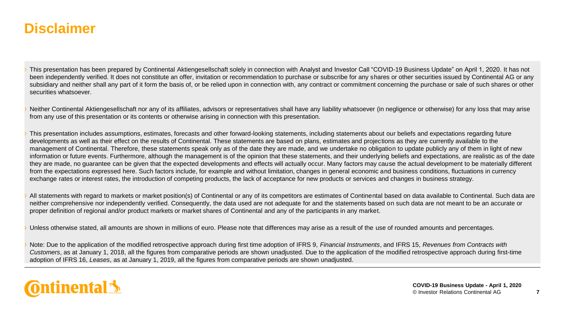## **Disclaimer**

This presentation has been prepared by Continental Aktiengesellschaft solely in connection with Analyst and Investor Call "COVID-19 Business Update" on April 1, 2020. It has not been independently verified. It does not constitute an offer, invitation or recommendation to purchase or subscribe for any shares or other securities issued by Continental AG or any subsidiary and neither shall any part of it form the basis of, or be relied upon in connection with, any contract or commitment concerning the purchase or sale of such shares or other securities whatsoever.

Neither Continental Aktiengesellschaft nor any of its affiliates, advisors or representatives shall have any liability whatsoever (in negligence or otherwise) for any loss that may arise from any use of this presentation or its contents or otherwise arising in connection with this presentation.

› This presentation includes assumptions, estimates, forecasts and other forward-looking statements, including statements about our beliefs and expectations regarding future developments as well as their effect on the results of Continental. These statements are based on plans, estimates and projections as they are currently available to the management of Continental. Therefore, these statements speak only as of the date they are made, and we undertake no obligation to update publicly any of them in light of new information or future events. Furthermore, although the management is of the opinion that these statements, and their underlying beliefs and expectations, are realistic as of the date they are made, no guarantee can be given that the expected developments and effects will actually occur. Many factors may cause the actual development to be materially different from the expectations expressed here. Such factors include, for example and without limitation, changes in general economic and business conditions, fluctuations in currency exchange rates or interest rates, the introduction of competing products, the lack of acceptance for new products or services and changes in business strategy.

All statements with regard to markets or market position(s) of Continental or any of its competitors are estimates of Continental based on data available to Continental. Such data are neither comprehensive nor independently verified. Consequently, the data used are not adequate for and the statements based on such data are not meant to be an accurate or proper definition of regional and/or product markets or market shares of Continental and any of the participants in any market.

Unless otherwise stated, all amounts are shown in millions of euro. Please note that differences may arise as a result of the use of rounded amounts and percentages.

› Note: Due to the application of the modified retrospective approach during first time adoption of IFRS 9, *Financial Instruments*, and IFRS 15, *Revenues from Contracts with Customers*, as at January 1, 2018, all the figures from comparative periods are shown unadjusted. Due to the application of the modified retrospective approach during first-time adoption of IFRS 16, *Leases*, as at January 1, 2019, all the figures from comparative periods are shown unadjusted.



**COVID-19 Business Update - April 1, 2020** © Investor Relations Continental AG **7**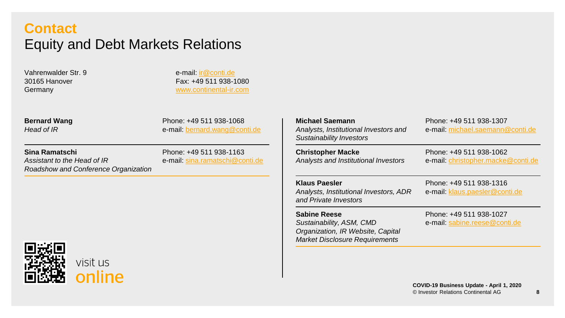## **Contact** Equity and Debt Markets Relations

Vahrenwalder Str. 9 30165 Hanover Germany

e-mail: [ir@conti.de](mailto:ir@conti.de) Fax: +49 511 938-1080 [www.continental-ir.com](http://www.continental-ir.com/)

### **Bernard Wang**

*Head of IR*

Phone: +49 511 938-1068 e-mail: bernard.wang@conti.de

**Sina Ramatschi** *Assistant to the Head of IR Roadshow and Conference Organization* Phone: +49 511 938-1163 e-mail: [sina.ramatschi@conti.de](mailto:sina.ramatschi@conti.de)



**Michael Saemann** *Analysts, Institutional Investors and Sustainability Investors*

Phone: +49 511 938-1307 e-mail: [michael.saemann@conti.de](mailto:michael.saemann@conti.de)

**Christopher Macke** *Analysts and Institutional Investors* Phone: +49 511 938-1062 e-mail: [christopher.macke@conti.de](mailto:klaus.paesler@conti.de)

**Klaus Paesler** *Analysts, Institutional Investors, ADR and Private Investors* 

Phone: +49 511 938-1316 e-mail: [klaus.paesler@conti.de](mailto:klaus.paesler@conti.de)

**Sabine Reese** *Sustainability, ASM, CMD Organization, IR Website, Capital Market Disclosure Requirements*

Phone: +49 511 938-1027 e-mail: [sabine.reese@conti.de](mailto:sabine.reese@conti.de)